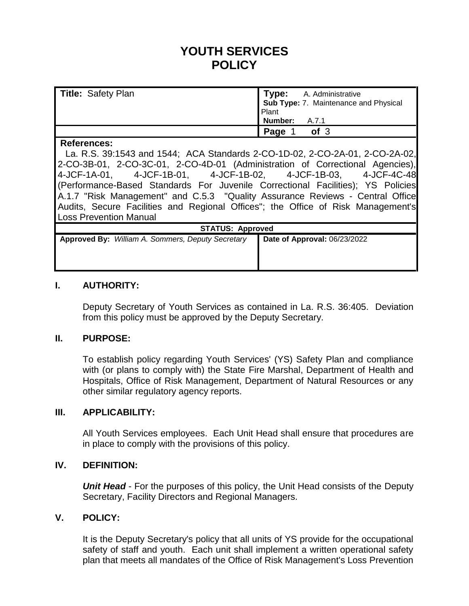# **YOUTH SERVICES POLICY**

| <b>Title: Safety Plan</b> | <b>Type:</b> A. Administrative        |
|---------------------------|---------------------------------------|
|                           | Sub Type: 7. Maintenance and Physical |
|                           | <b>Plant</b>                          |
|                           | Number: A.7.1                         |
|                           | of <sub>3</sub><br>Page 1             |

#### **References:**

La. R.S. 39:1543 and 1544; ACA Standards 2-CO-1D-02, 2-CO-2A-01, 2-CO-2A-02, 2-CO-3B-01, 2-CO-3C-01, 2-CO-4D-01 (Administration of Correctional Agencies), 4-JCF-1A-01, 4-JCF-1B-01, 4-JCF-1B-02, 4-JCF-1B-03, 4-JCF-4C-48 (Performance-Based Standards For Juvenile Correctional Facilities); YS Policies A.1.7 "Risk Management" and C.5.3 "Quality Assurance Reviews - Central Office Audits, Secure Facilities and Regional Offices"; the Office of Risk Management's Loss Prevention Manual

| <b>STATUS: Approved</b>                                  |                              |  |
|----------------------------------------------------------|------------------------------|--|
| <b>Approved By:</b> William A. Sommers, Deputy Secretary | Date of Approval: 06/23/2022 |  |
|                                                          |                              |  |
|                                                          |                              |  |

### **I. AUTHORITY:**

Deputy Secretary of Youth Services as contained in La. R.S. 36:405. Deviation from this policy must be approved by the Deputy Secretary.

### **II. PURPOSE:**

To establish policy regarding Youth Services' (YS) Safety Plan and compliance with (or plans to comply with) the State Fire Marshal, Department of Health and Hospitals, Office of Risk Management, Department of Natural Resources or any other similar regulatory agency reports.

#### **III. APPLICABILITY:**

All Youth Services employees. Each Unit Head shall ensure that procedures are in place to comply with the provisions of this policy.

## **IV. DEFINITION:**

*Unit Head* - For the purposes of this policy, the Unit Head consists of the Deputy Secretary, Facility Directors and Regional Managers.

### **V. POLICY:**

It is the Deputy Secretary's policy that all units of YS provide for the occupational safety of staff and youth. Each unit shall implement a written operational safety plan that meets all mandates of the Office of Risk Management's Loss Prevention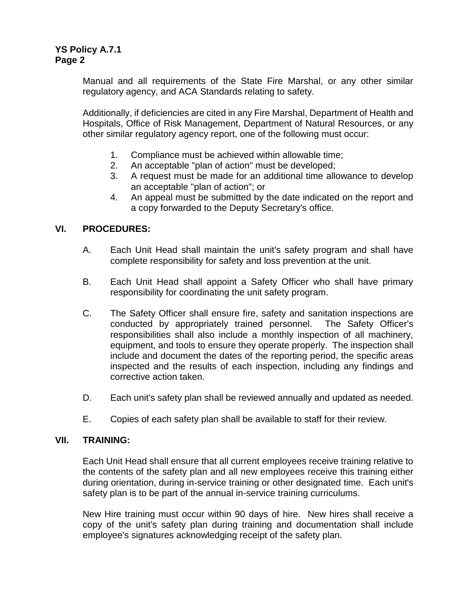Manual and all requirements of the State Fire Marshal, or any other similar regulatory agency, and ACA Standards relating to safety.

Additionally, if deficiencies are cited in any Fire Marshal, Department of Health and Hospitals, Office of Risk Management, Department of Natural Resources, or any other similar regulatory agency report, one of the following must occur:

- 1. Compliance must be achieved within allowable time;
- 2. An acceptable "plan of action" must be developed;
- 3. A request must be made for an additional time allowance to develop an acceptable "plan of action"; or
- 4. An appeal must be submitted by the date indicated on the report and a copy forwarded to the Deputy Secretary's office.

# **VI. PROCEDURES:**

- A. Each Unit Head shall maintain the unit's safety program and shall have complete responsibility for safety and loss prevention at the unit.
- B. Each Unit Head shall appoint a Safety Officer who shall have primary responsibility for coordinating the unit safety program.
- C. The Safety Officer shall ensure fire, safety and sanitation inspections are conducted by appropriately trained personnel. The Safety Officer's responsibilities shall also include a monthly inspection of all machinery, equipment, and tools to ensure they operate properly. The inspection shall include and document the dates of the reporting period, the specific areas inspected and the results of each inspection, including any findings and corrective action taken.
- D. Each unit's safety plan shall be reviewed annually and updated as needed.
- E. Copies of each safety plan shall be available to staff for their review.

#### **VII. TRAINING:**

Each Unit Head shall ensure that all current employees receive training relative to the contents of the safety plan and all new employees receive this training either during orientation, during in-service training or other designated time. Each unit's safety plan is to be part of the annual in-service training curriculums.

New Hire training must occur within 90 days of hire. New hires shall receive a copy of the unit's safety plan during training and documentation shall include employee's signatures acknowledging receipt of the safety plan.